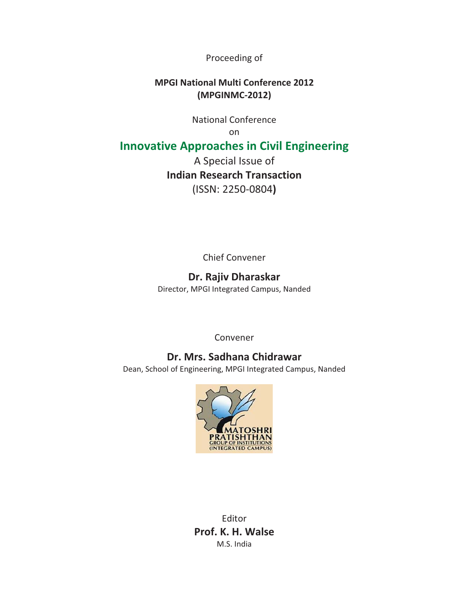Proceeding of

# **MPGI National Multi Conference 2012** (MPGINMC-2012)

National Conference

on-

# **Innovative Approaches in Civil Engineering**

A Special Issue of **Indian Research Transaction** (ISSN: 2250-0804)

Chief Convener

# **Dr.-Rajiv-Dharaskar**

Director, MPGI Integrated Campus, Nanded

Convener

# **Dr.-Mrs.-Sadhana-Chidrawar**

Dean, School of Engineering, MPGI Integrated Campus, Nanded



**Editor** Prof. K. H. Walse M.S. India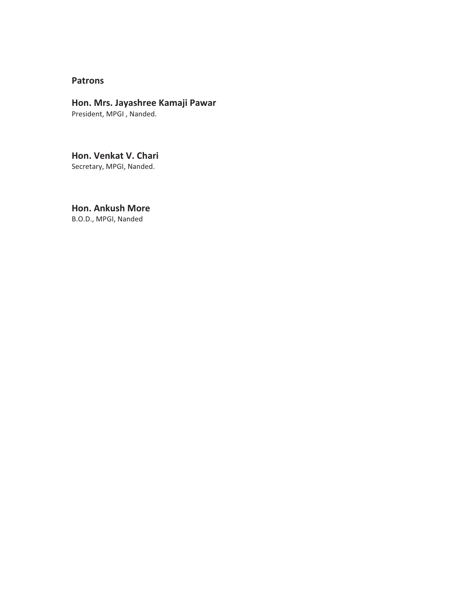### **Patrons**

#### **Hon.-Mrs.-Jayashree-Kamaji-Pawar**

President, MPGI, Nanded.

**Hon.-Venkat-V.-Chari** Secretary, MPGI, Nanded.

**Hon.-Ankush-More**

B.O.D., MPGI, Nanded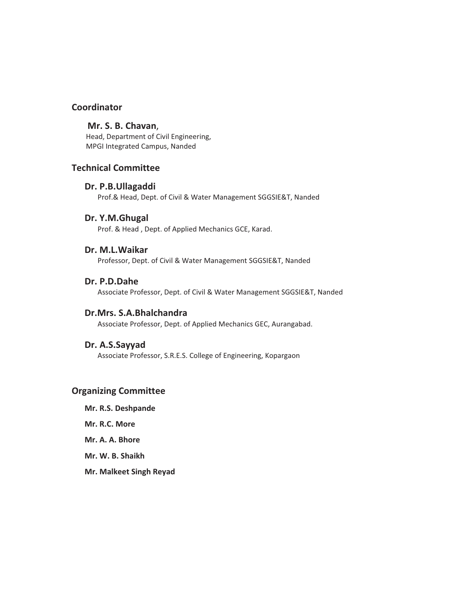### **Coordinator**

### **-Mr.-S.-B.-Chavan**,-

Head, Department of Civil Engineering, MPGI Integrated Campus, Nanded

#### **Technical-Committee**

#### Dr. P.B.Ullagaddi

Prof.& Head, Dept. of Civil & Water Management SGGSIE&T, Nanded

#### **Dr.-Y.M.Ghugal-**

Prof. & Head, Dept. of Applied Mechanics GCE, Karad.

#### **Dr.-M.L.Waikar-**

Professor, Dept. of Civil & Water Management SGGSIE&T, Nanded

#### Dr. P.D.Dahe

Associate Professor, Dept. of Civil & Water Management SGGSIE&T, Nanded

#### **Dr.Mrs.-S.A.Bhalchandra-**

Associate Professor, Dept. of Applied Mechanics GEC, Aurangabad.

#### **Dr.-A.S.Sayyad-**

Associate Professor, S.R.E.S. College of Engineering, Kopargaon

#### **Organizing-Committee**

**Mr.-R.S.-Deshpande-**

**Mr. R.C. More** 

**Mr. A. A. Bhore** 

**Mr. W. B. Shaikh** 

**Mr. Malkeet Singh Reyad**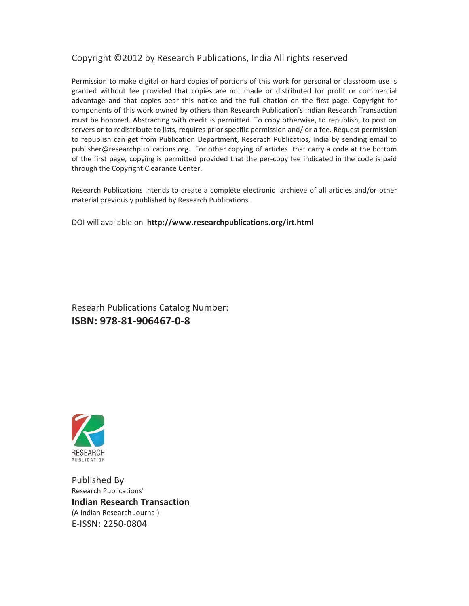# Copyright ©2012 by Research Publications, India All rights reserved

Permission to make digital or hard copies of portions of this work for personal or classroom use is granted without fee provided that copies are not made or distributed for profit or commercial advantage and that copies bear this notice and the full citation on the first page. Copyright for components of this work owned by others than Research Publication's Indian Research Transaction must be honored. Abstracting with credit is permitted. To copy otherwise, to republish, to post on servers or to redistribute to lists, requires prior specific permission and/ or a fee. Request permission to republish can get from Publication Department, Reserach Publicatios, India by sending email to publisher@researchpublications.org. For other copying of articles that carry a code at the bottom of the first page, copying is permitted provided that the per-copy fee indicated in the code is paid through the Copyright Clearance Center.

Research Publications intends to create a complete electronic archieve of all articles and/or other material previously published by Research Publications.

DOI will available on http://www.researchpublications.org/irt.html

Researh Publications Catalog Number: **ISBN: 978-81-906467-0-8** 



Published By Research Publications' **Indian Research Transaction** (A Indian Research Journal) E-ISSN: 2250-0804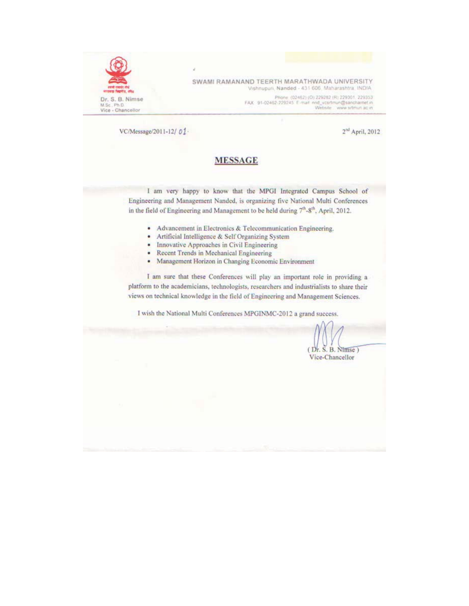

SWAMI RAMANAND TEERTH MARATHWADA UNIVERSITY Vishnupuri, Nanded - 431 606, Maharashtra, INDIA

> Phone (02462) (O) 229262 (R) 229301, 229353 FAX 91-02462-229245 E-mail nnd\_vcsrtmun@sancharnet.in<br>Website www.srtmun.ac.in

VC/Message/2011-12/01-

 $2^{nd}$  April, 2012

#### **MESSAGE**

I am very happy to know that the MPGI Integrated Campus School of Engineering and Management Nanded, is organizing five National Multi Conferences in the field of Engineering and Management to be held during 7th-8th, April, 2012.

- Advancement in Electronics & Telecommunication Engineering.
- Artificial Intelligence & Self Organizing System ٠
- Innovative Approaches in Civil Engineering  $\bullet$
- Recent Trends in Mechanical Engineering ٠
- Management Horizon in Changing Economic Environment ٠

I am sure that these Conferences will play an important role in providing a platform to the academicians, technologists, researchers and industrialists to share their views on technical knowledge in the field of Engineering and Management Sciences.

I wish the National Multi Conferences MPGINMC-2012 a grand success.

 $(Dr. S. B. Ntmse)$ Vice-Chancellor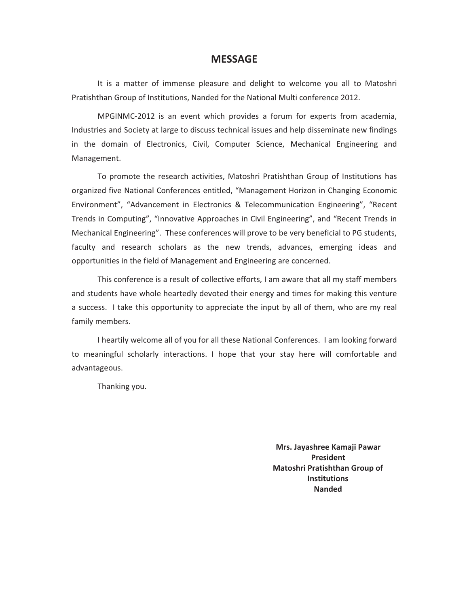#### **MESSAGE**

It is a matter of immense pleasure and delight to welcome you all to Matoshri Pratishthan Group of Institutions, Nanded for the National Multi conference 2012.

MPGINMC-2012 is an event which provides a forum for experts from academia, Industries and Society at large to discuss technical issues and help disseminate new findings in the domain of Electronics, Civil, Computer Science, Mechanical Engineering and Management.

To promote the research activities, Matoshri Pratishthan Group of Institutions has organized five National Conferences entitled, "Management Horizon in Changing Economic Environment", "Advancement in Electronics & Telecommunication Engineering", "Recent Trends in Computing", "Innovative Approaches in Civil Engineering", and "Recent Trends in Mechanical Engineering". These conferences will prove to be very beneficial to PG students, faculty and research scholars as the new trends, advances, emerging ideas and opportunities in the field of Management and Engineering are concerned.

This conference is a result of collective efforts, I am aware that all my staff members and students have whole heartedly devoted their energy and times for making this venture a success. I take this opportunity to appreciate the input by all of them, who are my real family members.

I heartily welcome all of you for all these National Conferences. I am looking forward to meaningful scholarly interactions. I hope that your stay here will comfortable and advantageous.

Thanking you.

**Mrs. Jayashree Kamaji Pawar President-Matoshri Pratishthan Group of Institutions-Nanded-**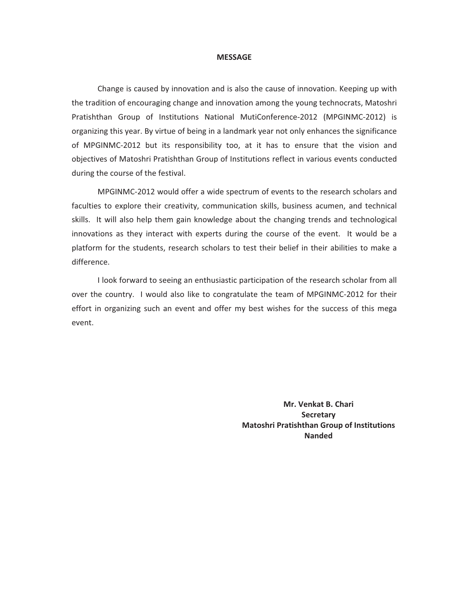#### **MESSAGE-**

Change is caused by innovation and is also the cause of innovation. Keeping up with the tradition of encouraging change and innovation among the young technocrats, Matoshri Pratishthan Group of Institutions National MutiConference-2012 (MPGINMC-2012) is organizing this year. By virtue of being in a landmark year not only enhances the significance of MPGINMC-2012 but its responsibility too, at it has to ensure that the vision and objectives of Matoshri Pratishthan Group of Institutions reflect in various events conducted during the course of the festival.

MPGINMC-2012 would offer a wide spectrum of events to the research scholars and faculties to explore their creativity, communication skills, business acumen, and technical skills. It will also help them gain knowledge about the changing trends and technological innovations as they interact with experts during the course of the event. It would be a platform for the students, research scholars to test their belief in their abilities to make a difference.

I look forward to seeing an enthusiastic participation of the research scholar from all over the country. I would also like to congratulate the team of MPGINMC-2012 for their effort in organizing such an event and offer my best wishes for the success of this mega event.

> **Mr.-Venkat-B.-Chari Secretary-Matoshri Pratishthan Group of Institutions Nanded-**